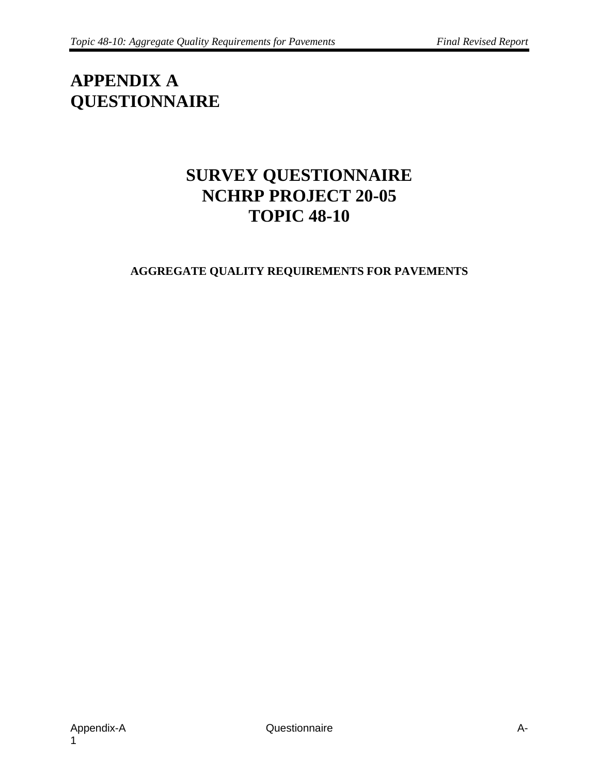# **APPENDIX A QUESTIONNAIRE**

## **SURVEY QUESTIONNAIRE NCHRP PROJECT 20-05 TOPIC 48-10**

#### **AGGREGATE QUALITY REQUIREMENTS FOR PAVEMENTS**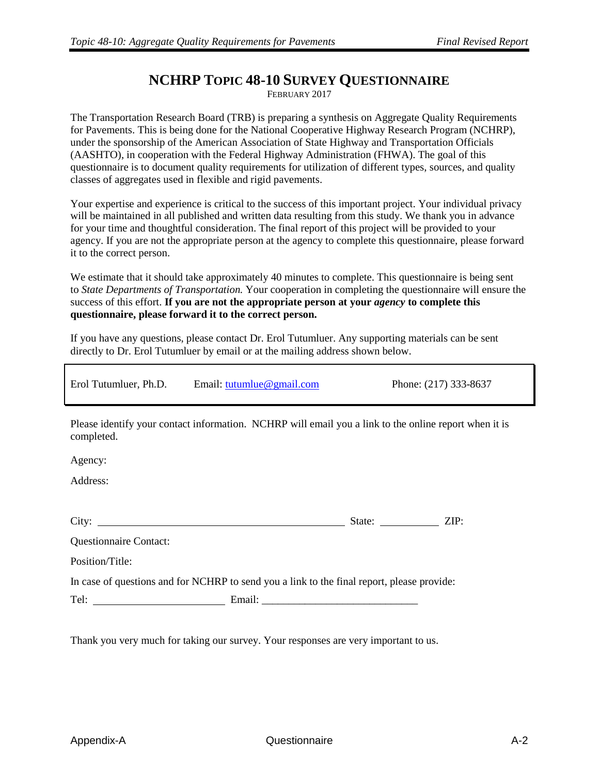#### **NCHRP TOPIC 48-10 SURVEY QUESTIONNAIRE**

FEBRUARY 2017

The Transportation Research Board (TRB) is preparing a synthesis on Aggregate Quality Requirements for Pavements. This is being done for the National Cooperative Highway Research Program (NCHRP), under the sponsorship of the American Association of State Highway and Transportation Officials (AASHTO), in cooperation with the Federal Highway Administration (FHWA). The goal of this questionnaire is to document quality requirements for utilization of different types, sources, and quality classes of aggregates used in flexible and rigid pavements.

Your expertise and experience is critical to the success of this important project. Your individual privacy will be maintained in all published and written data resulting from this study. We thank you in advance for your time and thoughtful consideration. The final report of this project will be provided to your agency. If you are not the appropriate person at the agency to complete this questionnaire, please forward it to the correct person.

We estimate that it should take approximately 40 minutes to complete. This questionnaire is being sent to *State Departments of Transportation.* Your cooperation in completing the questionnaire will ensure the success of this effort. **If you are not the appropriate person at your** *agency* **to complete this questionnaire, please forward it to the correct person.**

If you have any questions, please contact Dr. Erol Tutumluer. Any supporting materials can be sent directly to Dr. Erol Tutumluer by email or at the mailing address shown below.

Erol Tutumluer, Ph.D. Email: [tutumlue@gmail.com](mailto:tutumlue@gmail.com) Phone: (217) 333-8637

Please identify your contact information. NCHRP will email you a link to the online report when it is completed.

Agency:

Address:

| $\sim$<br>C1U | ин<br>. | . . |
|---------------|---------|-----|
|               |         |     |

Questionnaire Contact:

Position/Title:

In case of questions and for NCHRP to send you a link to the final report, please provide:

Tel: Email: \_\_\_\_\_\_\_\_\_\_\_\_\_\_\_\_\_\_\_\_\_\_\_\_\_\_\_\_\_

Thank you very much for taking our survey. Your responses are very important to us.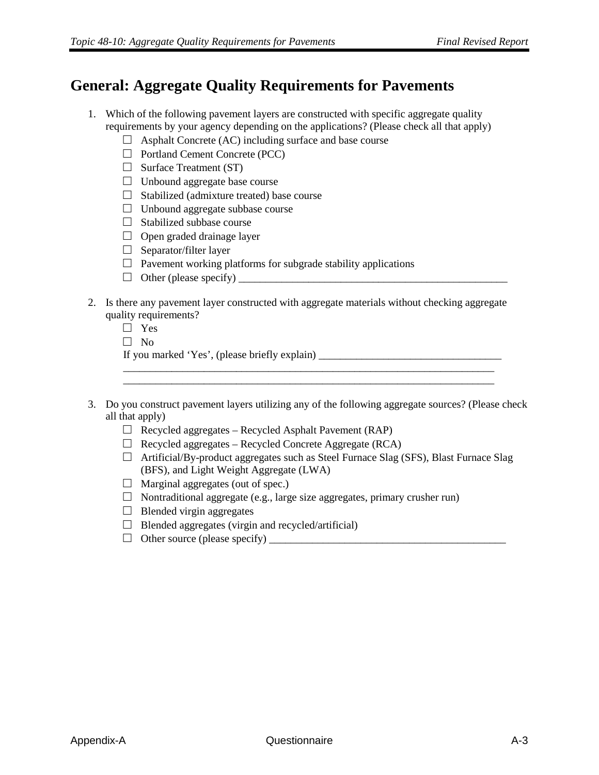#### **General: Aggregate Quality Requirements for Pavements**

- 1. Which of the following pavement layers are constructed with specific aggregate quality requirements by your agency depending on the applications? (Please check all that apply)
	- $\Box$  Asphalt Concrete (AC) including surface and base course
	- □ Portland Cement Concrete (PCC)
	- $\Box$  Surface Treatment (ST)
	- □ Unbound aggregate base course
	- $\Box$  Stabilized (admixture treated) base course
	- $\Box$  Unbound aggregate subbase course
	- $\Box$  Stabilized subbase course
	- $\Box$  Open graded drainage layer
	- $\Box$  Separator/filter layer
	- $\Box$  Pavement working platforms for subgrade stability applications
	- □ Other (please specify) \_\_\_\_\_\_\_\_\_\_\_\_\_\_\_\_\_\_\_\_\_\_\_\_\_\_\_\_\_\_\_\_\_\_\_\_\_\_\_\_\_\_\_\_\_\_\_\_\_\_
- 2. Is there any pavement layer constructed with aggregate materials without checking aggregate quality requirements?
	- □ Yes
	- $\Box$  No

If you marked 'Yes', (please briefly explain) \_\_\_\_\_\_\_\_\_\_\_\_\_\_\_\_\_\_\_\_\_\_\_\_\_\_\_\_\_\_\_\_\_\_\_

3. Do you construct pavement layers utilizing any of the following aggregate sources? (Please check all that apply)

\_\_\_\_\_\_\_\_\_\_\_\_\_\_\_\_\_\_\_\_\_\_\_\_\_\_\_\_\_\_\_\_\_\_\_\_\_\_\_\_\_\_\_\_\_\_\_\_\_\_\_\_\_\_\_\_\_\_\_\_\_\_\_\_\_\_\_\_\_ \_\_\_\_\_\_\_\_\_\_\_\_\_\_\_\_\_\_\_\_\_\_\_\_\_\_\_\_\_\_\_\_\_\_\_\_\_\_\_\_\_\_\_\_\_\_\_\_\_\_\_\_\_\_\_\_\_\_\_\_\_\_\_\_\_\_\_\_\_

- $\Box$  Recycled aggregates Recycled Asphalt Pavement (RAP)
- $\Box$  Recycled aggregates Recycled Concrete Aggregate (RCA)
- $\Box$  Artificial/By-product aggregates such as Steel Furnace Slag (SFS), Blast Furnace Slag (BFS), and Light Weight Aggregate (LWA)
- $\Box$  Marginal aggregates (out of spec.)
- $\Box$  Nontraditional aggregate (e.g., large size aggregates, primary crusher run)
- $\Box$  Blended virgin aggregates
- $\Box$  Blended aggregates (virgin and recycled/artificial)
- $\Box$  Other source (please specify)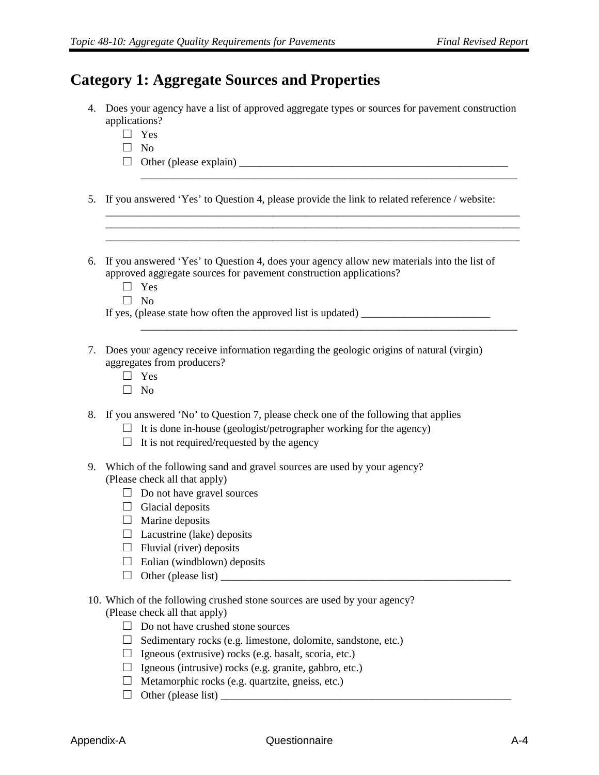#### **Category 1: Aggregate Sources and Properties**

4. Does your agency have a list of approved aggregate types or sources for pavement construction applications?

\_\_\_\_\_\_\_\_\_\_\_\_\_\_\_\_\_\_\_\_\_\_\_\_\_\_\_\_\_\_\_\_\_\_\_\_\_\_\_\_\_\_\_\_\_\_\_\_\_\_\_\_\_\_\_\_\_\_\_\_\_\_\_\_\_\_\_\_\_\_

\_\_\_\_\_\_\_\_\_\_\_\_\_\_\_\_\_\_\_\_\_\_\_\_\_\_\_\_\_\_\_\_\_\_\_\_\_\_\_\_\_\_\_\_\_\_\_\_\_\_\_\_\_\_\_\_\_\_\_\_\_\_\_\_\_\_\_\_\_\_

- □ Yes
- $\Box$  No
- □ Other (please explain) \_\_\_\_\_\_\_\_\_\_\_\_\_\_\_\_\_\_\_\_\_\_\_\_\_\_\_\_\_\_\_\_\_\_\_\_\_\_\_\_\_\_\_\_\_\_\_\_\_\_
- 5. If you answered 'Yes' to Question 4, please provide the link to related reference / website:

\_\_\_\_\_\_\_\_\_\_\_\_\_\_\_\_\_\_\_\_\_\_\_\_\_\_\_\_\_\_\_\_\_\_\_\_\_\_\_\_\_\_\_\_\_\_\_\_\_\_\_\_\_\_\_\_\_\_\_\_\_\_\_\_\_\_\_\_\_\_\_\_\_\_\_\_\_ \_\_\_\_\_\_\_\_\_\_\_\_\_\_\_\_\_\_\_\_\_\_\_\_\_\_\_\_\_\_\_\_\_\_\_\_\_\_\_\_\_\_\_\_\_\_\_\_\_\_\_\_\_\_\_\_\_\_\_\_\_\_\_\_\_\_\_\_\_\_\_\_\_\_\_\_\_ \_\_\_\_\_\_\_\_\_\_\_\_\_\_\_\_\_\_\_\_\_\_\_\_\_\_\_\_\_\_\_\_\_\_\_\_\_\_\_\_\_\_\_\_\_\_\_\_\_\_\_\_\_\_\_\_\_\_\_\_\_\_\_\_\_\_\_\_\_\_\_\_\_\_\_\_\_

- 6. If you answered 'Yes' to Question 4, does your agency allow new materials into the list of approved aggregate sources for pavement construction applications?
	- □ Yes
	- □ No

If yes, (please state how often the approved list is updated)

- 7. Does your agency receive information regarding the geologic origins of natural (virgin) aggregates from producers?
	- □ Yes
	- $\Box$  No
- 8. If you answered 'No' to Question 7, please check one of the following that applies
	- $\Box$  It is done in-house (geologist/petrographer working for the agency)
	- $\Box$  It is not required/requested by the agency
- 9. Which of the following sand and gravel sources are used by your agency? (Please check all that apply)
	- $\Box$  Do not have gravel sources
	- $\Box$  Glacial deposits
	- $\Box$  Marine deposits
	- $\Box$  Lacustrine (lake) deposits
	- $\Box$  Fluvial (river) deposits
	- $\Box$  Eolian (windblown) deposits
	- □ Other (please list) \_\_\_\_\_\_\_\_\_\_\_\_\_\_\_\_\_\_\_\_\_\_\_\_\_\_\_\_\_\_\_\_\_\_\_\_\_\_\_\_\_\_\_\_\_\_\_\_\_\_\_\_\_\_
- 10. Which of the following crushed stone sources are used by your agency? (Please check all that apply)
	- $\Box$  Do not have crushed stone sources
	- $\Box$  Sedimentary rocks (e.g. limestone, dolomite, sandstone, etc.)
	- $\Box$  Igneous (extrusive) rocks (e.g. basalt, scoria, etc.)
	- $\Box$  Igneous (intrusive) rocks (e.g. granite, gabbro, etc.)
	- $\Box$  Metamorphic rocks (e.g. quartzite, gneiss, etc.)
	- $\Box$  Other (please list)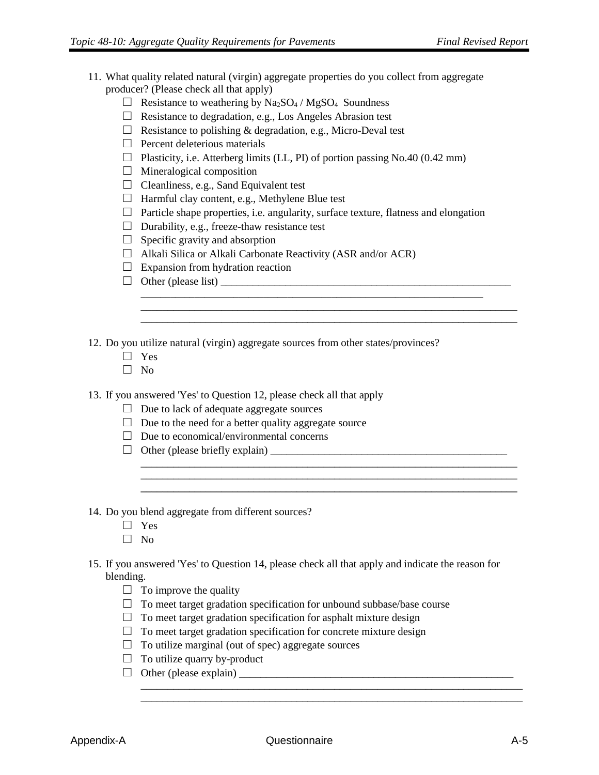- 11. What quality related natural (virgin) aggregate properties do you collect from aggregate producer? (Please check all that apply)
	- $\Box$  Resistance to weathering by Na<sub>2</sub>SO<sub>4</sub> / MgSO<sub>4</sub> Soundness
	- □ Resistance to degradation, e.g., Los Angeles Abrasion test
	- $\Box$  Resistance to polishing & degradation, e.g., Micro-Deval test
	- $\Box$  Percent deleterious materials
	- $\Box$  Plasticity, i.e. Atterberg limits (LL, PI) of portion passing No.40 (0.42 mm)
	- $\Box$  Mineralogical composition
	- $\Box$  Cleanliness, e.g., Sand Equivalent test
	- $\Box$  Harmful clay content, e.g., Methylene Blue test
	- $\Box$  Particle shape properties, i.e. angularity, surface texture, flatness and elongation

**\_\_\_\_\_\_\_\_\_\_\_\_\_\_\_\_\_\_\_\_\_\_\_\_\_\_\_\_\_\_\_\_\_\_\_\_\_\_\_\_\_\_\_\_\_\_\_\_\_\_\_\_\_\_\_\_\_\_\_\_\_\_\_\_\_\_\_\_\_\_** \_\_\_\_\_\_\_\_\_\_\_\_\_\_\_\_\_\_\_\_\_\_\_\_\_\_\_\_\_\_\_\_\_\_\_\_\_\_\_\_\_\_\_\_\_\_\_\_\_\_\_\_\_\_\_\_\_\_\_\_\_\_\_\_\_\_\_\_\_\_

\_\_\_\_\_\_\_\_\_\_\_\_\_\_\_\_\_\_\_\_\_\_\_\_\_\_\_\_\_\_\_\_\_\_\_\_\_\_\_\_\_\_\_\_\_\_\_\_\_\_\_\_\_\_\_\_\_\_\_\_\_\_\_\_\_\_\_\_\_\_

**\_\_\_\_\_\_\_\_\_\_\_\_\_\_\_\_\_\_\_\_\_\_\_\_\_\_\_\_\_\_\_\_\_\_\_\_\_\_\_\_\_\_\_\_\_\_\_\_\_\_\_\_\_\_\_\_\_\_\_\_\_\_\_\_\_\_\_\_\_\_**

\_\_\_\_\_\_\_\_\_\_\_\_\_\_\_\_\_\_\_\_\_\_\_\_\_\_\_\_\_\_\_\_\_\_\_\_\_\_\_\_\_\_\_\_\_\_\_\_\_\_\_\_\_\_\_\_\_\_\_\_\_\_\_\_\_\_\_\_\_\_\_ \_\_\_\_\_\_\_\_\_\_\_\_\_\_\_\_\_\_\_\_\_\_\_\_\_\_\_\_\_\_\_\_\_\_\_\_\_\_\_\_\_\_\_\_\_\_\_\_\_\_\_\_\_\_\_\_\_\_\_\_\_\_\_\_\_\_\_\_\_\_\_

- $\Box$  Durability, e.g., freeze-thaw resistance test
- $\Box$  Specific gravity and absorption
- $\Box$  Alkali Silica or Alkali Carbonate Reactivity (ASR and/or ACR)
- $\Box$  Expansion from hydration reaction
- $\Box$  Other (please list)

12. Do you utilize natural (virgin) aggregate sources from other states/provinces?

- □ Yes
- □ No

13. If you answered 'Yes' to Question 12, please check all that apply

- $\Box$  Due to lack of adequate aggregate sources
- $\Box$  Due to the need for a better quality aggregate source
- $\Box$  Due to economical/environmental concerns
- $\Box$  Other (please briefly explain)  $\Box$
- 14. Do you blend aggregate from different sources?
	- □ Yes
	- □ No
- 15. If you answered 'Yes' to Question 14, please check all that apply and indicate the reason for blending.
	- $\Box$  To improve the quality
	- $\Box$  To meet target gradation specification for unbound subbase/base course
	- $\Box$  To meet target gradation specification for asphalt mixture design
	- $\Box$  To meet target gradation specification for concrete mixture design
	- $\Box$  To utilize marginal (out of spec) aggregate sources
	- $\Box$  To utilize quarry by-product
	- □ Other (please explain) \_\_\_\_\_\_\_\_\_\_\_\_\_\_\_\_\_\_\_\_\_\_\_\_\_\_\_\_\_\_\_\_\_\_\_\_\_\_\_\_\_\_\_\_\_\_\_\_\_\_\_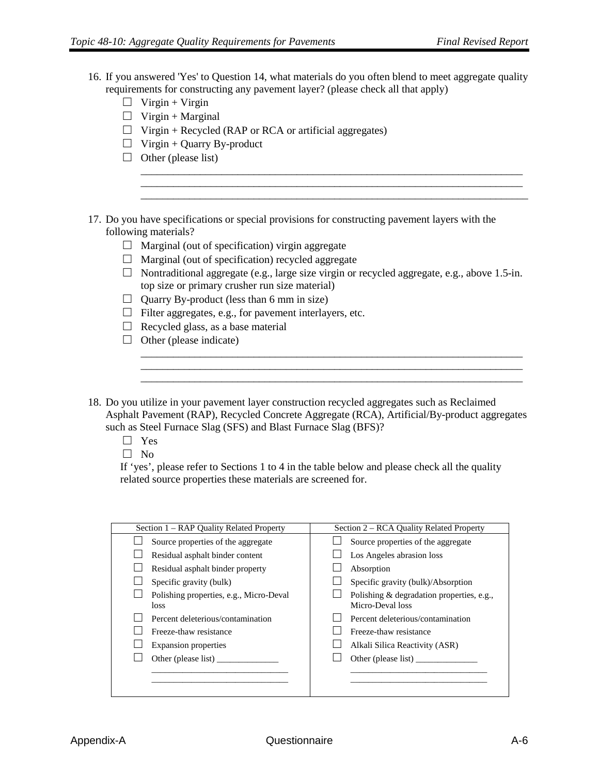- 16. If you answered 'Yes' to Question 14, what materials do you often blend to meet aggregate quality requirements for constructing any pavement layer? (please check all that apply)
	- $\Box$  Virgin + Virgin
	- $\Box$  Virgin + Marginal
	- $\Box$  Virgin + Recycled (RAP or RCA or artificial aggregates)
	- $\Box$  Virgin + Quarry By-product
	- $\Box$  Other (please list)

17. Do you have specifications or special provisions for constructing pavement layers with the following materials?

- $\Box$  Marginal (out of specification) virgin aggregate
- $\Box$  Marginal (out of specification) recycled aggregate
- $\Box$  Nontraditional aggregate (e.g., large size virgin or recycled aggregate, e.g., above 1.5-in. top size or primary crusher run size material)

\_\_\_\_\_\_\_\_\_\_\_\_\_\_\_\_\_\_\_\_\_\_\_\_\_\_\_\_\_\_\_\_\_\_\_\_\_\_\_\_\_\_\_\_\_\_\_\_\_\_\_\_\_\_\_\_\_\_\_\_\_\_\_\_\_\_\_\_\_\_\_

\_\_\_\_\_\_\_\_\_\_\_\_\_\_\_\_\_\_\_\_\_\_\_\_\_\_\_\_\_\_\_\_\_\_\_\_\_\_\_\_\_\_\_\_\_\_\_\_\_\_\_\_\_\_\_\_\_\_\_\_\_\_\_\_\_\_\_\_\_\_\_

\_\_\_\_\_\_\_\_\_\_\_\_\_\_\_\_\_\_\_\_\_\_\_\_\_\_\_\_\_\_\_\_\_\_\_\_\_\_\_\_\_\_\_\_\_\_\_\_\_\_\_\_\_\_\_\_\_\_\_\_\_\_\_\_\_\_\_\_\_\_\_ \_\_\_\_\_\_\_\_\_\_\_\_\_\_\_\_\_\_\_\_\_\_\_\_\_\_\_\_\_\_\_\_\_\_\_\_\_\_\_\_\_\_\_\_\_\_\_\_\_\_\_\_\_\_\_\_\_\_\_\_\_\_\_\_\_\_\_\_\_\_\_ \_\_\_\_\_\_\_\_\_\_\_\_\_\_\_\_\_\_\_\_\_\_\_\_\_\_\_\_\_\_\_\_\_\_\_\_\_\_\_\_\_\_\_\_\_\_\_\_\_\_\_\_\_\_\_\_\_\_\_\_\_\_\_\_\_\_\_\_\_\_\_\_

- $\Box$  Quarry By-product (less than 6 mm in size)
- $\Box$  Filter aggregates, e.g., for pavement interlayers, etc.
- $\Box$  Recycled glass, as a base material
- $\Box$  Other (please indicate)
- 18. Do you utilize in your pavement layer construction recycled aggregates such as Reclaimed Asphalt Pavement (RAP), Recycled Concrete Aggregate (RCA), Artificial/By-product aggregates such as Steel Furnace Slag (SFS) and Blast Furnace Slag (BFS)?
	- □ Yes
	- $\Box$  No

If 'yes', please refer to Sections 1 to 4 in the table below and please check all the quality related source properties these materials are screened for.

| Section 1 – RAP Quality Related Property        | Section 2 – RCA Quality Related Property                      |
|-------------------------------------------------|---------------------------------------------------------------|
| Source properties of the aggregate              | Source properties of the aggregate                            |
| Residual asphalt binder content                 | Los Angeles abrasion loss                                     |
| Residual asphalt binder property                | Absorption                                                    |
| Specific gravity (bulk)                         | Specific gravity (bulk)/Absorption                            |
| Polishing properties, e.g., Micro-Deval<br>loss | Polishing & degradation properties, e.g.,<br>Micro-Deval loss |
| Percent deleterious/contamination               | Percent deleterious/contamination                             |
| Freeze-thaw resistance                          | Freeze-thaw resistance                                        |
| <b>Expansion properties</b>                     | Alkali Silica Reactivity (ASR)                                |
|                                                 | Other (please list)                                           |
|                                                 |                                                               |
|                                                 |                                                               |
|                                                 |                                                               |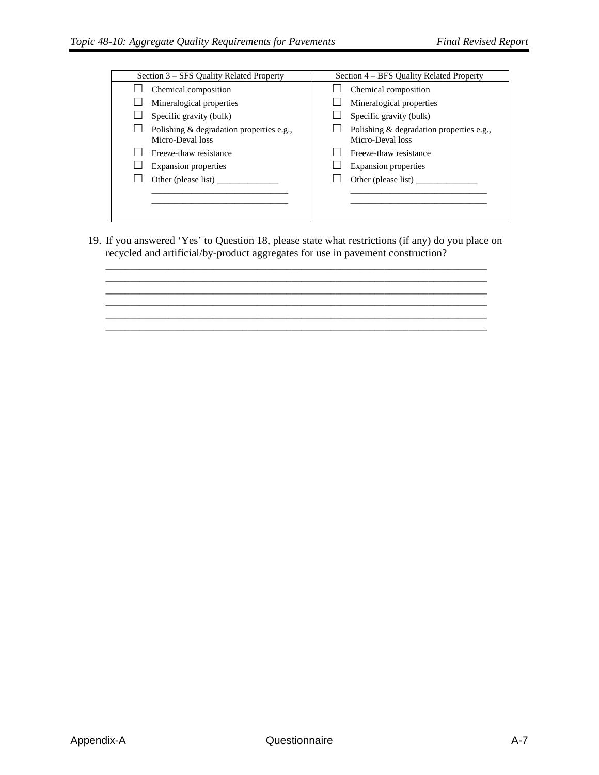| Section 3 – SFS Quality Related Property                     | Section 4 – BFS Quality Related Property                     |
|--------------------------------------------------------------|--------------------------------------------------------------|
| Chemical composition                                         | Chemical composition                                         |
| Mineralogical properties                                     | Mineralogical properties                                     |
| Specific gravity (bulk)                                      | Specific gravity (bulk)                                      |
| Polishing & degradation properties e.g.,<br>Micro-Deval loss | Polishing & degradation properties e.g.,<br>Micro-Deval loss |
| Freeze-thaw resistance                                       | Freeze-thaw resistance                                       |
| Expansion properties                                         | <b>Expansion properties</b>                                  |
| Other (please list)                                          | Other (please list)                                          |
|                                                              |                                                              |
|                                                              |                                                              |
|                                                              |                                                              |

19. If you answered 'Yes' to Question 18, please state what restrictions (if any) do you place on recycled and artificial/by-product aggregates for use in pavement construction? \_\_\_\_\_\_\_\_\_\_\_\_\_\_\_\_\_\_\_\_\_\_\_\_\_\_\_\_\_\_\_\_\_\_\_\_\_\_\_\_\_\_\_\_\_\_\_\_\_\_\_\_\_\_\_\_\_\_\_\_\_\_\_\_\_\_\_\_\_\_\_\_\_\_\_\_\_\_

\_\_\_\_\_\_\_\_\_\_\_\_\_\_\_\_\_\_\_\_\_\_\_\_\_\_\_\_\_\_\_\_\_\_\_\_\_\_\_\_\_\_\_\_\_\_\_\_\_\_\_\_\_\_\_\_\_\_\_\_\_\_\_\_\_\_\_\_\_\_\_\_\_\_\_\_\_\_ \_\_\_\_\_\_\_\_\_\_\_\_\_\_\_\_\_\_\_\_\_\_\_\_\_\_\_\_\_\_\_\_\_\_\_\_\_\_\_\_\_\_\_\_\_\_\_\_\_\_\_\_\_\_\_\_\_\_\_\_\_\_\_\_\_\_\_\_\_\_\_\_\_\_\_\_\_\_ \_\_\_\_\_\_\_\_\_\_\_\_\_\_\_\_\_\_\_\_\_\_\_\_\_\_\_\_\_\_\_\_\_\_\_\_\_\_\_\_\_\_\_\_\_\_\_\_\_\_\_\_\_\_\_\_\_\_\_\_\_\_\_\_\_\_\_\_\_\_\_\_\_\_\_\_\_\_ \_\_\_\_\_\_\_\_\_\_\_\_\_\_\_\_\_\_\_\_\_\_\_\_\_\_\_\_\_\_\_\_\_\_\_\_\_\_\_\_\_\_\_\_\_\_\_\_\_\_\_\_\_\_\_\_\_\_\_\_\_\_\_\_\_\_\_\_\_\_\_\_\_\_\_\_\_\_ \_\_\_\_\_\_\_\_\_\_\_\_\_\_\_\_\_\_\_\_\_\_\_\_\_\_\_\_\_\_\_\_\_\_\_\_\_\_\_\_\_\_\_\_\_\_\_\_\_\_\_\_\_\_\_\_\_\_\_\_\_\_\_\_\_\_\_\_\_\_\_\_\_\_\_\_\_\_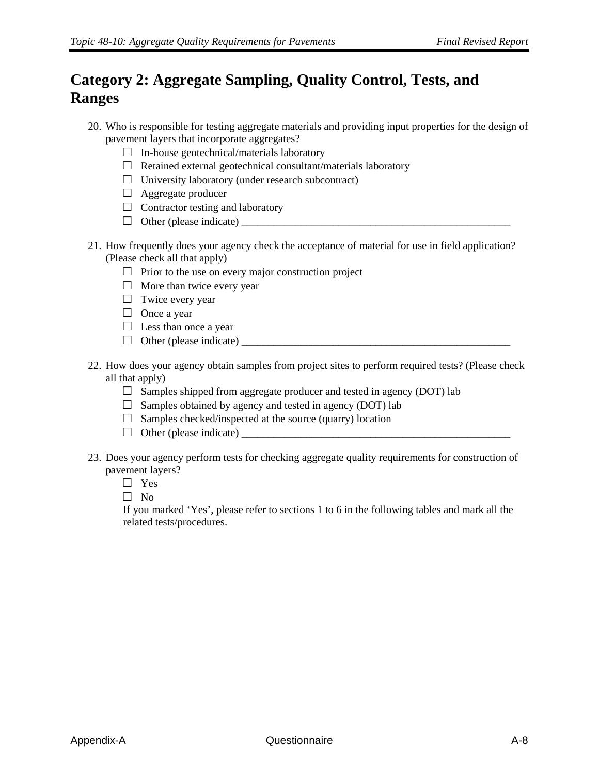## **Category 2: Aggregate Sampling, Quality Control, Tests, and Ranges**

- 20. Who is responsible for testing aggregate materials and providing input properties for the design of pavement layers that incorporate aggregates?
	- $\Box$  In-house geotechnical/materials laboratory
	- $\Box$  Retained external geotechnical consultant/materials laboratory
	- $\Box$  University laboratory (under research subcontract)
	- □ Aggregate producer
	- $\Box$  Contractor testing and laboratory
	- □ Other (please indicate) \_\_\_\_\_\_\_\_\_\_\_\_\_\_\_\_\_\_\_\_\_\_\_\_\_\_\_\_\_\_\_\_\_\_\_\_\_\_\_\_\_\_\_\_\_\_\_\_\_\_
- 21. How frequently does your agency check the acceptance of material for use in field application? (Please check all that apply)
	- $\Box$  Prior to the use on every major construction project
	- $\Box$  More than twice every year
	- □ Twice every year
	- □ Once a year
	- $\Box$  Less than once a year
	- □ Other (please indicate) \_\_\_\_\_\_\_\_\_\_\_\_\_\_\_\_\_\_\_\_\_\_\_\_\_\_\_\_\_\_\_\_\_\_\_\_\_\_\_\_\_\_\_\_\_\_\_\_\_\_
- 22. How does your agency obtain samples from project sites to perform required tests? (Please check all that apply)
	- $\Box$  Samples shipped from aggregate producer and tested in agency (DOT) lab
	- $\Box$  Samples obtained by agency and tested in agency (DOT) lab
	- $\Box$  Samples checked/inspected at the source (quarry) location
	- □ Other (please indicate) \_\_\_\_\_\_\_\_\_\_\_\_\_\_\_\_\_\_\_\_\_\_\_\_\_\_\_\_\_\_\_\_\_\_\_\_\_\_\_\_\_\_\_\_\_\_\_\_\_\_
- 23. Does your agency perform tests for checking aggregate quality requirements for construction of pavement layers?
	- □ Yes
	- □ No

If you marked 'Yes', please refer to sections 1 to 6 in the following tables and mark all the related tests/procedures.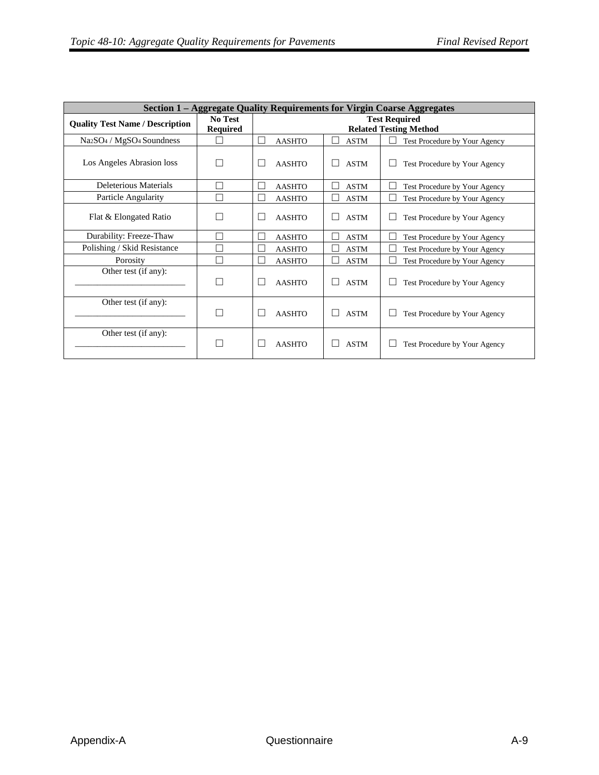| Section 1 – Aggregate Quality Requirements for Virgin Coarse Aggregates |                                   |                                                       |                             |                                     |  |  |  |
|-------------------------------------------------------------------------|-----------------------------------|-------------------------------------------------------|-----------------------------|-------------------------------------|--|--|--|
| <b>Quality Test Name / Description</b>                                  | <b>No Test</b><br><b>Required</b> | <b>Test Required</b><br><b>Related Testing Method</b> |                             |                                     |  |  |  |
| Na <sub>2</sub> SO <sub>4</sub> / MgSO <sub>4</sub> Soundness           |                                   | <b>AASHTO</b>                                         | <b>ASTM</b>                 | Test Procedure by Your Agency       |  |  |  |
| Los Angeles Abrasion loss                                               |                                   | П<br><b>AASHTO</b>                                    | <b>ASTM</b><br>$\mathsf{L}$ | Test Procedure by Your Agency       |  |  |  |
| Deleterious Materials                                                   |                                   | <b>AASHTO</b>                                         | <b>ASTM</b>                 | Test Procedure by Your Agency       |  |  |  |
| Particle Angularity                                                     | ш                                 | L<br><b>AASHTO</b>                                    | <b>ASTM</b><br>$\Box$       | L<br>Test Procedure by Your Agency  |  |  |  |
| Flat & Elongated Ratio                                                  |                                   | <b>AASHTO</b>                                         | <b>ASTM</b><br>$\mathsf{L}$ | Test Procedure by Your Agency       |  |  |  |
| Durability: Freeze-Thaw                                                 |                                   | <b>AASHTO</b>                                         | <b>ASTM</b><br>n l          | Test Procedure by Your Agency       |  |  |  |
| Polishing / Skid Resistance                                             |                                   | <b>AASHTO</b>                                         | <b>ASTM</b>                 | Test Procedure by Your Agency       |  |  |  |
| Porosity                                                                | L                                 | <b>AASHTO</b>                                         | <b>ASTM</b><br>$\Box$       | L.<br>Test Procedure by Your Agency |  |  |  |
| Other test (if any):                                                    |                                   | <b>AASHTO</b>                                         | <b>ASTM</b>                 | Test Procedure by Your Agency       |  |  |  |
| Other test (if any):                                                    |                                   | <b>AASHTO</b>                                         | <b>ASTM</b>                 | Test Procedure by Your Agency       |  |  |  |
| Other test (if any):                                                    |                                   | <b>AASHTO</b>                                         | <b>ASTM</b>                 | Test Procedure by Your Agency       |  |  |  |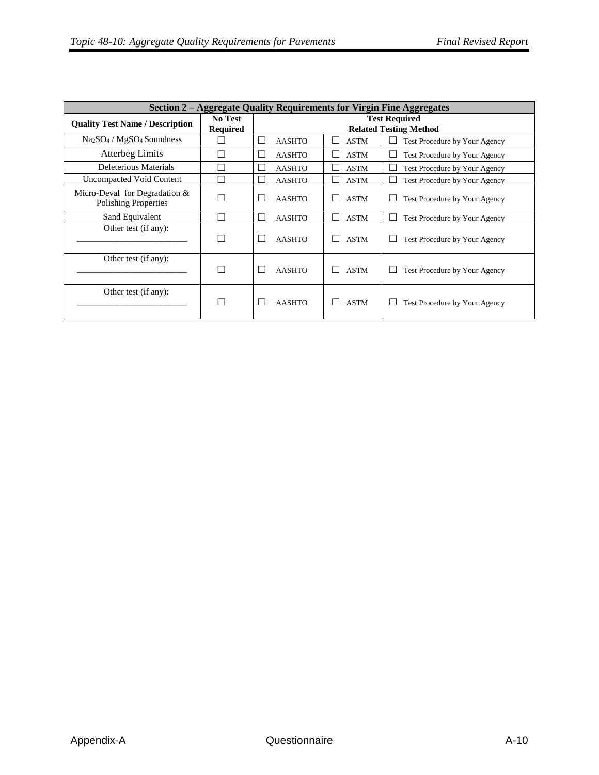|                                                              | Section 2 – Aggregate Quality Requirements for Virgin Fine Aggregates |                                                       |             |                                    |  |  |  |  |
|--------------------------------------------------------------|-----------------------------------------------------------------------|-------------------------------------------------------|-------------|------------------------------------|--|--|--|--|
| <b>Quality Test Name / Description</b>                       | No Test<br><b>Required</b>                                            | <b>Test Required</b><br><b>Related Testing Method</b> |             |                                    |  |  |  |  |
| $Na2SO4 / MgSO4 Soundness$                                   |                                                                       | <b>AASHTO</b>                                         | <b>ASTM</b> | Test Procedure by Your Agency      |  |  |  |  |
| Atterbeg Limits                                              |                                                                       | <b>AASHTO</b>                                         | <b>ASTM</b> | Test Procedure by Your Agency      |  |  |  |  |
| Deleterious Materials                                        |                                                                       | <b>AASHTO</b>                                         | <b>ASTM</b> | Test Procedure by Your Agency      |  |  |  |  |
| Uncompacted Void Content                                     |                                                                       | <b>AASHTO</b>                                         | <b>ASTM</b> | Test Procedure by Your Agency      |  |  |  |  |
| Micro-Deval for Degradation &<br><b>Polishing Properties</b> |                                                                       | <b>AASHTO</b>                                         | <b>ASTM</b> | Test Procedure by Your Agency      |  |  |  |  |
| Sand Equivalent                                              |                                                                       | <b>AASHTO</b>                                         | <b>ASTM</b> | Test Procedure by Your Agency<br>L |  |  |  |  |
| Other test (if any):                                         |                                                                       | <b>AASHTO</b>                                         | <b>ASTM</b> | Test Procedure by Your Agency      |  |  |  |  |
| Other test (if any):                                         |                                                                       | <b>AASHTO</b>                                         | <b>ASTM</b> | Test Procedure by Your Agency      |  |  |  |  |
| Other test (if any):                                         |                                                                       | <b>AASHTO</b>                                         | <b>ASTM</b> | Test Procedure by Your Agency      |  |  |  |  |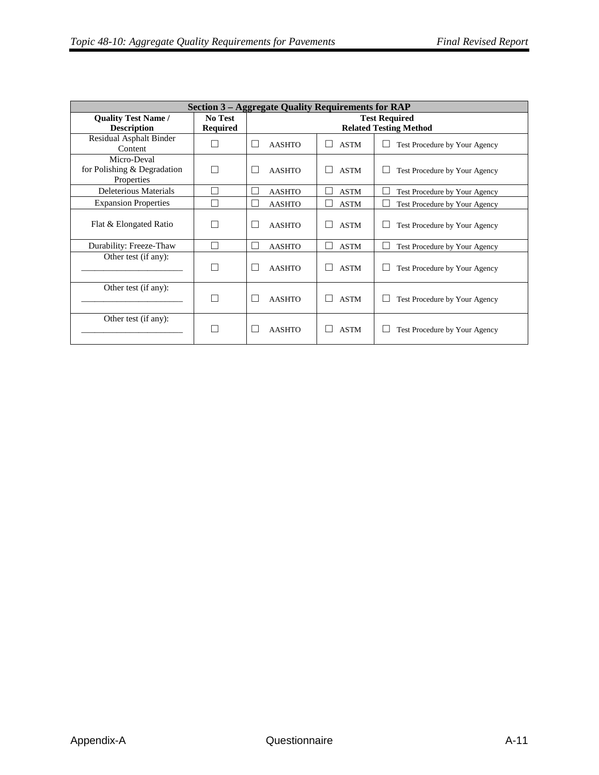| <b>Section 3 – Aggregate Quality Requirements for RAP</b> |                                   |                         |                    |                                                       |  |  |  |
|-----------------------------------------------------------|-----------------------------------|-------------------------|--------------------|-------------------------------------------------------|--|--|--|
| <b>Quality Test Name /</b><br><b>Description</b>          | <b>No Test</b><br><b>Required</b> |                         |                    | <b>Test Required</b><br><b>Related Testing Method</b> |  |  |  |
| <b>Residual Asphalt Binder</b><br>Content                 |                                   | <b>AASHTO</b>           | <b>ASTM</b>        | Test Procedure by Your Agency                         |  |  |  |
| Micro-Deval<br>for Polishing & Degradation<br>Properties  |                                   | <b>AASHTO</b>           | <b>ASTM</b>        | Test Procedure by Your Agency                         |  |  |  |
| Deleterious Materials                                     |                                   | <b>AASHTO</b>           | <b>ASTM</b>        | Test Procedure by Your Agency                         |  |  |  |
| <b>Expansion Properties</b>                               |                                   | <b>AASHTO</b>           | <b>ASTM</b>        | Test Procedure by Your Agency                         |  |  |  |
| Flat & Elongated Ratio                                    |                                   | <b>AASHTO</b>           | <b>ASTM</b>        | Test Procedure by Your Agency                         |  |  |  |
| Durability: Freeze-Thaw                                   |                                   | <b>AASHTO</b>           | <b>ASTM</b><br>n l | Test Procedure by Your Agency                         |  |  |  |
| Other test (if any):                                      |                                   | <b>AASHTO</b><br>$\Box$ | <b>ASTM</b>        | Test Procedure by Your Agency                         |  |  |  |
| Other test (if any):                                      | n l                               | <b>AASHTO</b><br>$\Box$ | <b>ASTM</b>        | Test Procedure by Your Agency                         |  |  |  |
| Other test (if any):                                      |                                   | <b>AASHTO</b>           | <b>ASTM</b>        | Test Procedure by Your Agency                         |  |  |  |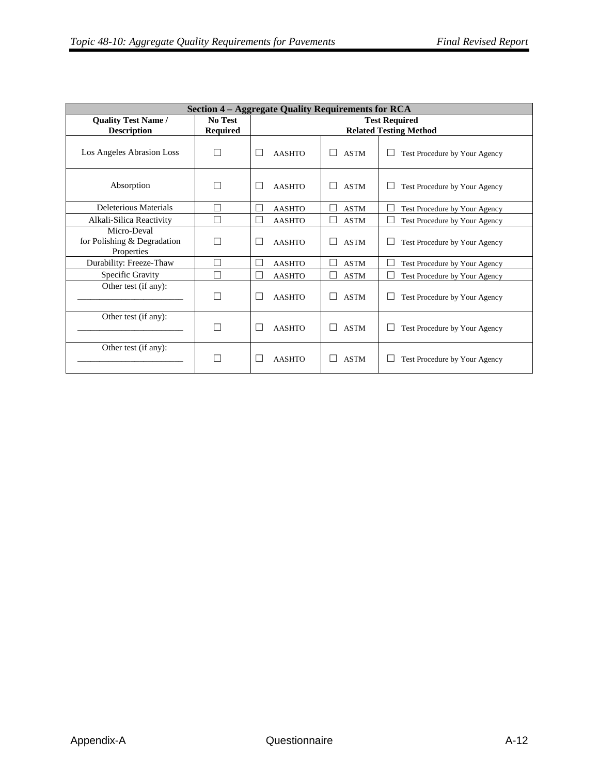| <b>Section 4 – Aggregate Quality Requirements for RCA</b> |                                   |                                                       |                                         |                               |  |  |  |  |
|-----------------------------------------------------------|-----------------------------------|-------------------------------------------------------|-----------------------------------------|-------------------------------|--|--|--|--|
| <b>Quality Test Name /</b><br><b>Description</b>          | <b>No Test</b><br><b>Required</b> | <b>Test Required</b><br><b>Related Testing Method</b> |                                         |                               |  |  |  |  |
| Los Angeles Abrasion Loss                                 | $\Box$                            | <b>AASHTO</b>                                         | <b>ASTM</b><br>$\overline{\phantom{0}}$ | Test Procedure by Your Agency |  |  |  |  |
| Absorption                                                | П                                 | <b>AASHTO</b><br>L                                    | <b>ASTM</b>                             | Test Procedure by Your Agency |  |  |  |  |
| Deleterious Materials                                     | П                                 | <b>AASHTO</b>                                         | <b>ASTM</b>                             | Test Procedure by Your Agency |  |  |  |  |
| Alkali-Silica Reactivity                                  | П                                 | <b>AASHTO</b>                                         | <b>ASTM</b>                             | Test Procedure by Your Agency |  |  |  |  |
| Micro-Deval<br>for Polishing & Degradation<br>Properties  | П                                 | <b>AASHTO</b><br>$\mathbf{L}$                         | <b>ASTM</b>                             | Test Procedure by Your Agency |  |  |  |  |
| Durability: Freeze-Thaw                                   | П                                 | Г<br><b>AASHTO</b>                                    | <b>ASTM</b><br>×                        | Test Procedure by Your Agency |  |  |  |  |
| Specific Gravity                                          | П                                 | <b>AASHTO</b>                                         | <b>ASTM</b>                             | Test Procedure by Your Agency |  |  |  |  |
| Other test (if any):                                      | П                                 | <b>AASHTO</b>                                         | <b>ASTM</b>                             | Test Procedure by Your Agency |  |  |  |  |
| Other test (if any):                                      | П                                 | <b>AASHTO</b>                                         | <b>ASTM</b>                             | Test Procedure by Your Agency |  |  |  |  |
| Other test (if any):                                      | $\Box$                            | <b>AASHTO</b>                                         | <b>ASTM</b>                             | Test Procedure by Your Agency |  |  |  |  |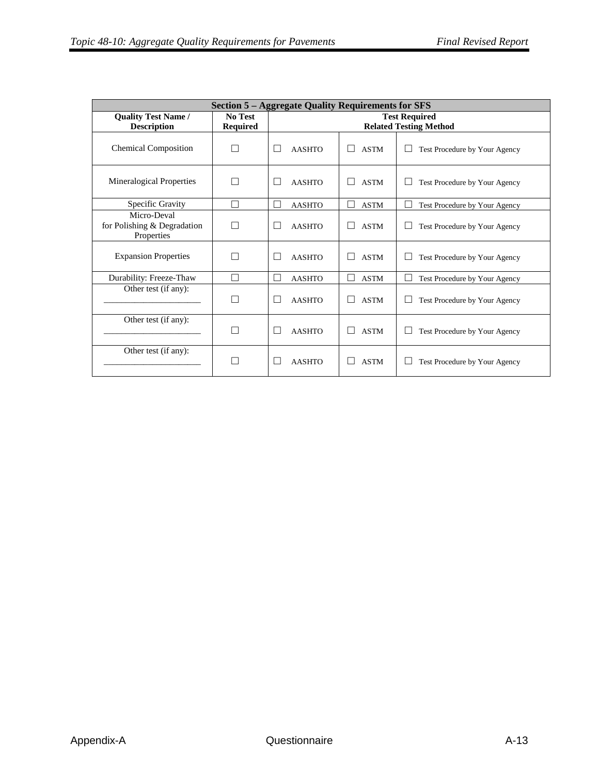| <b>Section 5 – Aggregate Quality Requirements for SFS</b> |                            |                                                       |             |                               |  |  |  |  |
|-----------------------------------------------------------|----------------------------|-------------------------------------------------------|-------------|-------------------------------|--|--|--|--|
| <b>Quality Test Name /</b><br><b>Description</b>          | No Test<br><b>Required</b> | <b>Test Required</b><br><b>Related Testing Method</b> |             |                               |  |  |  |  |
| <b>Chemical Composition</b>                               |                            | <b>AASHTO</b><br>$\mathsf{L}$                         | <b>ASTM</b> | Test Procedure by Your Agency |  |  |  |  |
| <b>Mineralogical Properties</b>                           |                            | <b>AASHTO</b><br>$\mathsf{L}$                         | <b>ASTM</b> | Test Procedure by Your Agency |  |  |  |  |
| Specific Gravity                                          |                            | <b>AASHTO</b><br>$\overline{\phantom{a}}$             | <b>ASTM</b> | Test Procedure by Your Agency |  |  |  |  |
| Micro-Deval<br>for Polishing & Degradation<br>Properties  |                            | <b>AASHTO</b><br>$\mathsf{L}$                         | <b>ASTM</b> | Test Procedure by Your Agency |  |  |  |  |
| <b>Expansion Properties</b>                               |                            | <b>AASHTO</b>                                         | <b>ASTM</b> | Test Procedure by Your Agency |  |  |  |  |
| Durability: Freeze-Thaw                                   | $\mathbf{I}$               | П<br><b>AASHTO</b>                                    | <b>ASTM</b> | Test Procedure by Your Agency |  |  |  |  |
| Other test (if any):                                      |                            | <b>AASHTO</b><br>$\mathsf{L}$                         | <b>ASTM</b> | Test Procedure by Your Agency |  |  |  |  |
| Other test (if any):                                      |                            | <b>AASHTO</b><br>$\mathsf{L}$                         | <b>ASTM</b> | Test Procedure by Your Agency |  |  |  |  |
| Other test (if any):                                      |                            | <b>AASHTO</b>                                         | <b>ASTM</b> | Test Procedure by Your Agency |  |  |  |  |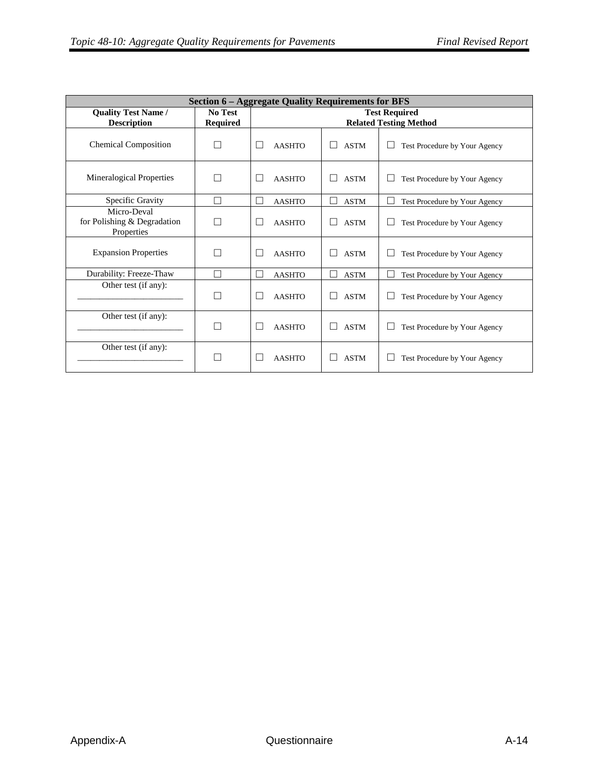| <b>Section 6 – Aggregate Quality Requirements for BFS</b> |                 |                         |             |                               |  |  |  |
|-----------------------------------------------------------|-----------------|-------------------------|-------------|-------------------------------|--|--|--|
| <b>Quality Test Name /</b>                                | No Test         |                         |             | <b>Test Required</b>          |  |  |  |
| <b>Description</b>                                        | <b>Required</b> |                         |             | <b>Related Testing Method</b> |  |  |  |
| <b>Chemical Composition</b>                               |                 | <b>AASHTO</b>           | <b>ASTM</b> | Test Procedure by Your Agency |  |  |  |
| Mineralogical Properties                                  | L               | <b>AASHTO</b><br>$\Box$ | <b>ASTM</b> | Test Procedure by Your Agency |  |  |  |
| Specific Gravity                                          | П               | П<br><b>AASHTO</b>      | <b>ASTM</b> | Test Procedure by Your Agency |  |  |  |
| Micro-Deval<br>for Polishing & Degradation<br>Properties  | n.              | <b>AASHTO</b>           | <b>ASTM</b> | Test Procedure by Your Agency |  |  |  |
| <b>Expansion Properties</b>                               |                 | <b>AASHTO</b>           | <b>ASTM</b> | Test Procedure by Your Agency |  |  |  |
| Durability: Freeze-Thaw                                   | П               | П<br><b>AASHTO</b>      | <b>ASTM</b> | Test Procedure by Your Agency |  |  |  |
| Other test (if any):                                      | П               | <b>AASHTO</b><br>H      | <b>ASTM</b> | Test Procedure by Your Agency |  |  |  |
| Other test (if any):                                      |                 | <b>AASHTO</b>           | <b>ASTM</b> | Test Procedure by Your Agency |  |  |  |
| Other test (if any):                                      |                 | <b>AASHTO</b>           | <b>ASTM</b> | Test Procedure by Your Agency |  |  |  |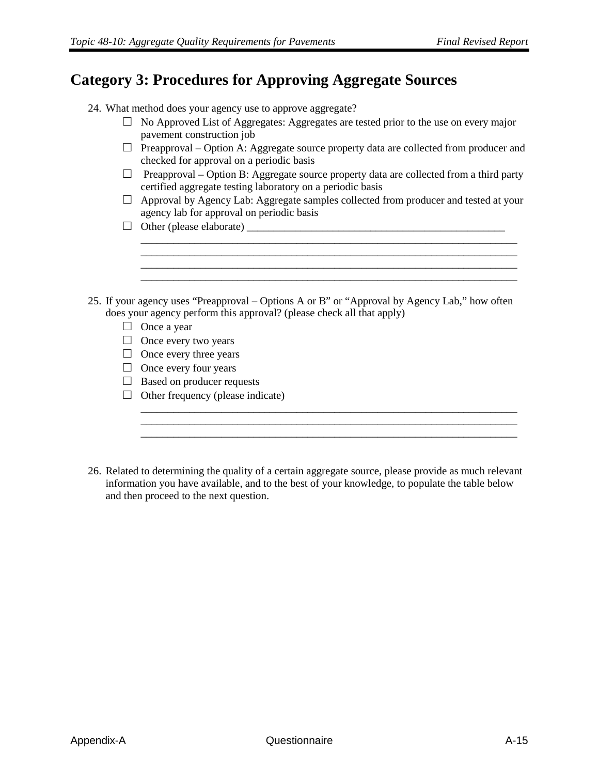#### **Category 3: Procedures for Approving Aggregate Sources**

- 24. What method does your agency use to approve aggregate?
	- $\Box$  No Approved List of Aggregates: Aggregates are tested prior to the use on every major pavement construction job
	- $\Box$  Preapproval Option A: Aggregate source property data are collected from producer and checked for approval on a periodic basis
	- $\Box$  Preapproval Option B: Aggregate source property data are collected from a third party certified aggregate testing laboratory on a periodic basis
	- $\Box$  Approval by Agency Lab: Aggregate samples collected from producer and tested at your agency lab for approval on periodic basis

\_\_\_\_\_\_\_\_\_\_\_\_\_\_\_\_\_\_\_\_\_\_\_\_\_\_\_\_\_\_\_\_\_\_\_\_\_\_\_\_\_\_\_\_\_\_\_\_\_\_\_\_\_\_\_\_\_\_\_\_\_\_\_\_\_\_\_\_\_\_

\_\_\_\_\_\_\_\_\_\_\_\_\_\_\_\_\_\_\_\_\_\_\_\_\_\_\_\_\_\_\_\_\_\_\_\_\_\_\_\_\_\_\_\_\_\_\_\_\_\_\_\_\_\_\_\_\_\_\_\_\_\_\_\_\_\_\_\_\_\_ \_\_\_\_\_\_\_\_\_\_\_\_\_\_\_\_\_\_\_\_\_\_\_\_\_\_\_\_\_\_\_\_\_\_\_\_\_\_\_\_\_\_\_\_\_\_\_\_\_\_\_\_\_\_\_\_\_\_\_\_\_\_\_\_\_\_\_\_\_\_ \_\_\_\_\_\_\_\_\_\_\_\_\_\_\_\_\_\_\_\_\_\_\_\_\_\_\_\_\_\_\_\_\_\_\_\_\_\_\_\_\_\_\_\_\_\_\_\_\_\_\_\_\_\_\_\_\_\_\_\_\_\_\_\_\_\_\_\_\_\_

\_\_\_\_\_\_\_\_\_\_\_\_\_\_\_\_\_\_\_\_\_\_\_\_\_\_\_\_\_\_\_\_\_\_\_\_\_\_\_\_\_\_\_\_\_\_\_\_\_\_\_\_\_\_\_\_\_\_\_\_\_\_\_\_\_\_\_\_\_\_

- □ Other (please elaborate) \_\_\_\_\_\_\_\_\_\_\_\_\_\_\_\_\_\_\_\_\_\_\_\_\_\_\_\_\_\_\_\_\_\_\_\_\_\_\_\_\_\_\_\_\_\_\_\_
- 25. If your agency uses "Preapproval Options A or B" or "Approval by Agency Lab," how often does your agency perform this approval? (please check all that apply)
	- □ Once a year
	- $\Box$  Once every two years
	- $\Box$  Once every three years
	- $\Box$  Once every four years
	- $\Box$  Based on producer requests
	- $\Box$  Other frequency (please indicate)
- 26. Related to determining the quality of a certain aggregate source, please provide as much relevant information you have available, and to the best of your knowledge, to populate the table below and then proceed to the next question.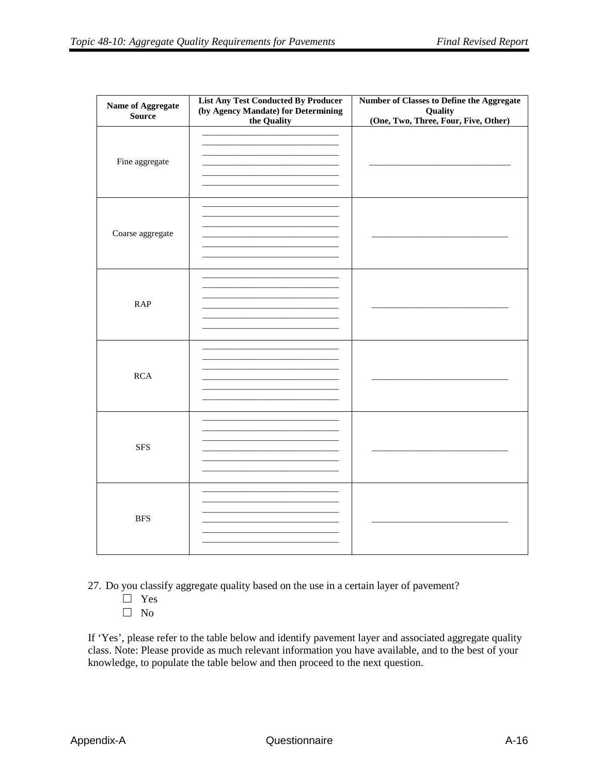| Name of Aggregate<br><b>Source</b> | <b>List Any Test Conducted By Producer</b><br>(by Agency Mandate) for Determining<br>the Quality | Number of Classes to Define the Aggregate<br>Quality<br>(One, Two, Three, Four, Five, Other) |
|------------------------------------|--------------------------------------------------------------------------------------------------|----------------------------------------------------------------------------------------------|
| Fine aggregate                     | the control of the control of the control of the control of the control of                       |                                                                                              |
| Coarse aggregate                   |                                                                                                  |                                                                                              |
| RAP                                |                                                                                                  |                                                                                              |
| RCA                                |                                                                                                  |                                                                                              |
| <b>SFS</b>                         |                                                                                                  |                                                                                              |
| <b>BFS</b>                         |                                                                                                  |                                                                                              |

27. Do you classify aggregate quality based on the use in a certain layer of pavement?

- □ Yes
- □ No

If 'Yes', please refer to the table below and identify pavement layer and associated aggregate quality class. Note: Please provide as much relevant information you have available, and to the best of your knowledge, to populate the table below and then proceed to the next question.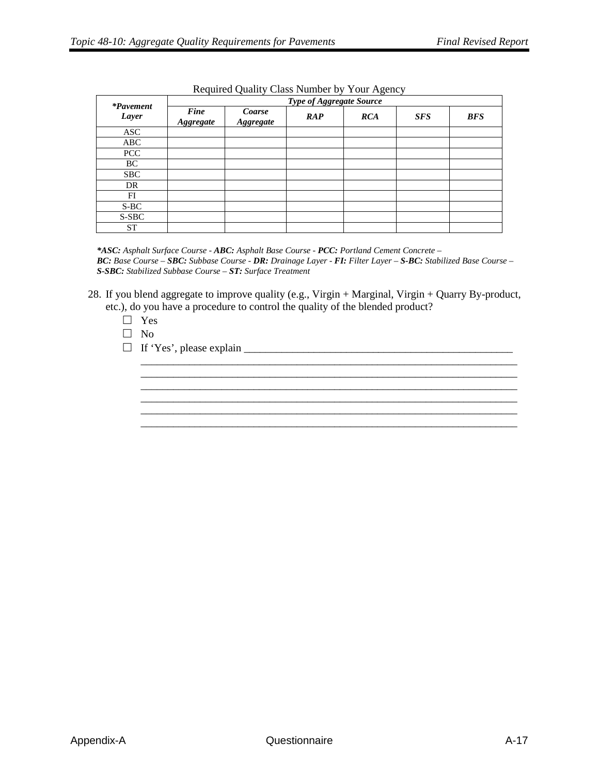|                           |                          | ∼<br>$\tilde{\phantom{a}}$<br>ັ<br>$\tilde{\phantom{a}}$<br>Type of Aggregate Source |                                              |            |            |            |  |  |  |
|---------------------------|--------------------------|--------------------------------------------------------------------------------------|----------------------------------------------|------------|------------|------------|--|--|--|
| <i>*Pavement</i><br>Layer | Fine<br><b>Aggregate</b> | Coarse<br><b>Aggregate</b>                                                           | $\boldsymbol{R}\boldsymbol{A}\boldsymbol{P}$ | <b>RCA</b> | <b>SFS</b> | <b>BFS</b> |  |  |  |
| <b>ASC</b>                |                          |                                                                                      |                                              |            |            |            |  |  |  |
| ABC                       |                          |                                                                                      |                                              |            |            |            |  |  |  |
| <b>PCC</b>                |                          |                                                                                      |                                              |            |            |            |  |  |  |
| BC                        |                          |                                                                                      |                                              |            |            |            |  |  |  |
| <b>SBC</b>                |                          |                                                                                      |                                              |            |            |            |  |  |  |
| DR                        |                          |                                                                                      |                                              |            |            |            |  |  |  |
| FI                        |                          |                                                                                      |                                              |            |            |            |  |  |  |
| S-BC                      |                          |                                                                                      |                                              |            |            |            |  |  |  |
| S-SBC                     |                          |                                                                                      |                                              |            |            |            |  |  |  |
| <b>ST</b>                 |                          |                                                                                      |                                              |            |            |            |  |  |  |

#### Required Quality Class Number by Your Agency

*\*ASC: Asphalt Surface Course - ABC: Asphalt Base Course - PCC: Portland Cement Concrete – BC: Base Course – SBC: Subbase Course - DR: Drainage Layer - FI: Filter Layer – S-BC: Stabilized Base Course – S-SBC: Stabilized Subbase Course – ST: Surface Treatment*

28. If you blend aggregate to improve quality (e.g., Virgin + Marginal, Virgin + Quarry By-product, etc.), do you have a procedure to control the quality of the blended product?

> \_\_\_\_\_\_\_\_\_\_\_\_\_\_\_\_\_\_\_\_\_\_\_\_\_\_\_\_\_\_\_\_\_\_\_\_\_\_\_\_\_\_\_\_\_\_\_\_\_\_\_\_\_\_\_\_\_\_\_\_\_\_\_\_\_\_\_\_\_\_ \_\_\_\_\_\_\_\_\_\_\_\_\_\_\_\_\_\_\_\_\_\_\_\_\_\_\_\_\_\_\_\_\_\_\_\_\_\_\_\_\_\_\_\_\_\_\_\_\_\_\_\_\_\_\_\_\_\_\_\_\_\_\_\_\_\_\_\_\_\_ \_\_\_\_\_\_\_\_\_\_\_\_\_\_\_\_\_\_\_\_\_\_\_\_\_\_\_\_\_\_\_\_\_\_\_\_\_\_\_\_\_\_\_\_\_\_\_\_\_\_\_\_\_\_\_\_\_\_\_\_\_\_\_\_\_\_\_\_\_\_ \_\_\_\_\_\_\_\_\_\_\_\_\_\_\_\_\_\_\_\_\_\_\_\_\_\_\_\_\_\_\_\_\_\_\_\_\_\_\_\_\_\_\_\_\_\_\_\_\_\_\_\_\_\_\_\_\_\_\_\_\_\_\_\_\_\_\_\_\_\_ \_\_\_\_\_\_\_\_\_\_\_\_\_\_\_\_\_\_\_\_\_\_\_\_\_\_\_\_\_\_\_\_\_\_\_\_\_\_\_\_\_\_\_\_\_\_\_\_\_\_\_\_\_\_\_\_\_\_\_\_\_\_\_\_\_\_\_\_\_\_

- □ Yes
- □ No
- □ If 'Yes', please explain \_\_\_\_\_\_\_\_\_\_\_\_\_\_\_\_\_\_\_\_\_\_\_\_\_\_\_\_\_\_\_\_\_\_\_\_\_\_\_\_\_\_\_\_\_\_\_\_\_\_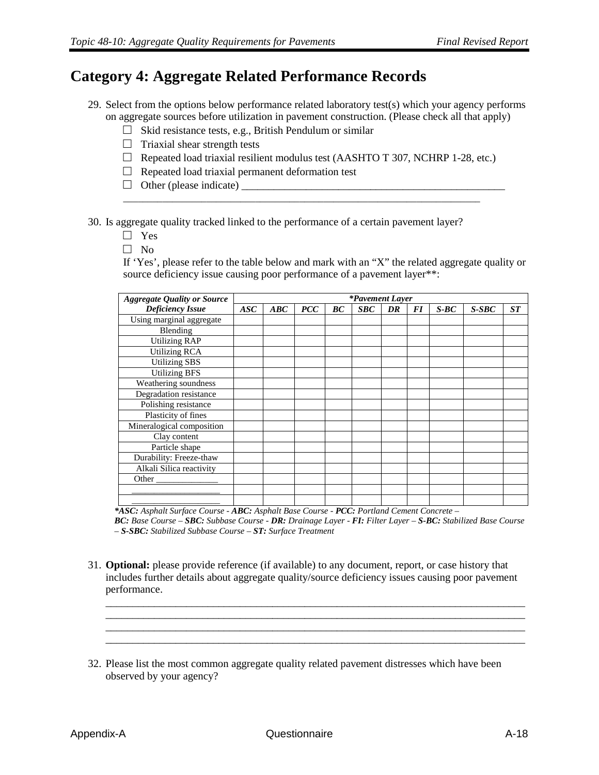### **Category 4: Aggregate Related Performance Records**

- 29. Select from the options below performance related laboratory test(s) which your agency performs on aggregate sources before utilization in pavement construction. (Please check all that apply)
	- $\Box$  Skid resistance tests, e.g., British Pendulum or similar
	- $\Box$  Triaxial shear strength tests
	- $\Box$  Repeated load triaxial resilient modulus test (AASHTO T 307, NCHRP 1-28, etc.)

\_\_\_\_\_\_\_\_\_\_\_\_\_\_\_\_\_\_\_\_\_\_\_\_\_\_\_\_\_\_\_\_\_\_\_\_\_\_\_\_\_\_\_\_\_\_\_\_\_\_\_\_\_\_\_\_\_\_\_\_\_\_\_\_\_\_\_\_\_\_\_\_\_

- $\Box$  Repeated load triaxial permanent deformation test
- □ Other (please indicate) \_\_\_\_\_\_\_\_\_\_\_\_\_\_\_\_\_\_\_\_\_\_\_\_\_\_\_\_\_\_\_\_\_\_\_\_\_\_\_\_\_\_\_\_\_\_\_\_\_

30. Is aggregate quality tracked linked to the performance of a certain pavement layer?

- □ Yes
- $\Box$  No

If 'Yes', please refer to the table below and mark with an "X" the related aggregate quality or source deficiency issue causing poor performance of a pavement layer\*\*:

| <b>Aggregate Quality or Source</b> | <i>*Pavement Layer</i> |     |                                    |    |                 |    |           |         |         |    |
|------------------------------------|------------------------|-----|------------------------------------|----|-----------------|----|-----------|---------|---------|----|
| <b>Deficiency Issue</b>            | ASC                    | ABC | $\mathbf{P} \mathbf{C} \mathbf{C}$ | BC | $S\mathcal{B}C$ | DR | <b>FI</b> | $S$ -BC | $S-SBC$ | ST |
| Using marginal aggregate           |                        |     |                                    |    |                 |    |           |         |         |    |
| Blending                           |                        |     |                                    |    |                 |    |           |         |         |    |
| <b>Utilizing RAP</b>               |                        |     |                                    |    |                 |    |           |         |         |    |
| <b>Utilizing RCA</b>               |                        |     |                                    |    |                 |    |           |         |         |    |
| Utilizing SBS                      |                        |     |                                    |    |                 |    |           |         |         |    |
| <b>Utilizing BFS</b>               |                        |     |                                    |    |                 |    |           |         |         |    |
| Weathering soundness               |                        |     |                                    |    |                 |    |           |         |         |    |
| Degradation resistance             |                        |     |                                    |    |                 |    |           |         |         |    |
| Polishing resistance               |                        |     |                                    |    |                 |    |           |         |         |    |
| Plasticity of fines                |                        |     |                                    |    |                 |    |           |         |         |    |
| Mineralogical composition          |                        |     |                                    |    |                 |    |           |         |         |    |
| Clay content                       |                        |     |                                    |    |                 |    |           |         |         |    |
| Particle shape                     |                        |     |                                    |    |                 |    |           |         |         |    |
| Durability: Freeze-thaw            |                        |     |                                    |    |                 |    |           |         |         |    |
| Alkali Silica reactivity           |                        |     |                                    |    |                 |    |           |         |         |    |
| Other                              |                        |     |                                    |    |                 |    |           |         |         |    |
|                                    |                        |     |                                    |    |                 |    |           |         |         |    |
|                                    |                        |     |                                    |    |                 |    |           |         |         |    |

*\*ASC: Asphalt Surface Course - ABC: Asphalt Base Course - PCC: Portland Cement Concrete –*

*BC: Base Course – SBC: Subbase Course - DR: Drainage Layer - FI: Filter Layer – S-BC: Stabilized Base Course – S-SBC: Stabilized Subbase Course – ST: Surface Treatment*

31. **Optional:** please provide reference (if available) to any document, report, or case history that includes further details about aggregate quality/source deficiency issues causing poor pavement performance.

\_\_\_\_\_\_\_\_\_\_\_\_\_\_\_\_\_\_\_\_\_\_\_\_\_\_\_\_\_\_\_\_\_\_\_\_\_\_\_\_\_\_\_\_\_\_\_\_\_\_\_\_\_\_\_\_\_\_\_\_\_\_\_\_\_\_\_\_\_\_\_\_\_\_\_\_\_\_ \_\_\_\_\_\_\_\_\_\_\_\_\_\_\_\_\_\_\_\_\_\_\_\_\_\_\_\_\_\_\_\_\_\_\_\_\_\_\_\_\_\_\_\_\_\_\_\_\_\_\_\_\_\_\_\_\_\_\_\_\_\_\_\_\_\_\_\_\_\_\_\_\_\_\_\_\_\_ \_\_\_\_\_\_\_\_\_\_\_\_\_\_\_\_\_\_\_\_\_\_\_\_\_\_\_\_\_\_\_\_\_\_\_\_\_\_\_\_\_\_\_\_\_\_\_\_\_\_\_\_\_\_\_\_\_\_\_\_\_\_\_\_\_\_\_\_\_\_\_\_\_\_\_\_\_\_

32. Please list the most common aggregate quality related pavement distresses which have been observed by your agency?